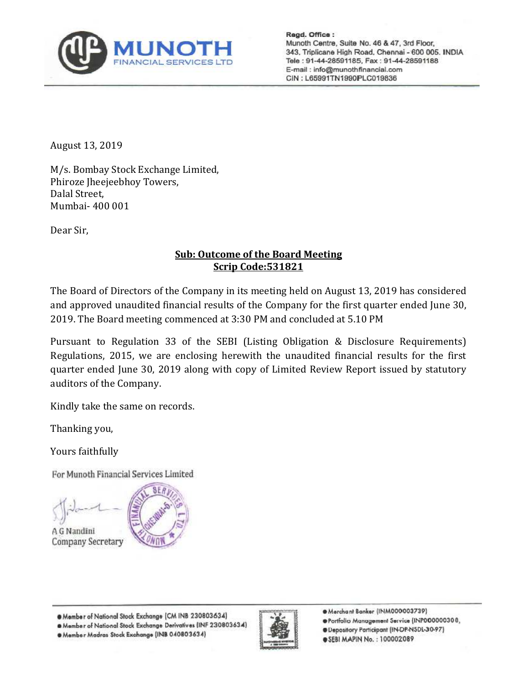

Regd. Office: Munoth Centre, Suite No. 46 & 47, 3rd Floor, 343, Triplicane High Road, Chennai - 600 005. INDIA Tele: 91-44-28591185, Fax: 91-44-28591188 E-mail: info@munothfinancial.com CIN: L65991TN1990PLC019836

August 13, 2019

M/s. Bombay Stock Exchange Limited, Phiroze Jheejeebhoy Towers, Dalal Street, Mumbai- 400 001

Dear Sir,

## **Sub: Outcome of the Board Meeting Scrip Code:531821**

The Board of Directors of the Company in its meeting held on August 13, 2019 has considered and approved unaudited financial results of the Company for the first quarter ended June 30, 2019. The Board meeting commenced at 3:30 PM and concluded at 5.10 PM

Pursuant to Regulation 33 of the SEBI (Listing Obligation & Disclosure Requirements) Regulations, 2015, we are enclosing herewith the unaudited financial results for the first quarter ended June 30, 2019 along with copy of Limited Review Report issued by statutory auditors of the Company.

Kindly take the same on records.

Thanking you,

Yours faithfully

For Munoth Financial Services Limited

A G Nandini Company Secretary



@ Member of National Stock Exchange (CM INB 230803634)

@ Member of National Stock Exchange Derivatives (INF 230803634)

. Member Madras Stock Exchange (INB 040803634)



Merchant Banker (INM000003739)

- Portfolio Management Service (INP000000308,
- @Depository Participant (IN-DP-NSDL-30-97)
- @ SEBI MAPIN No.: 100002089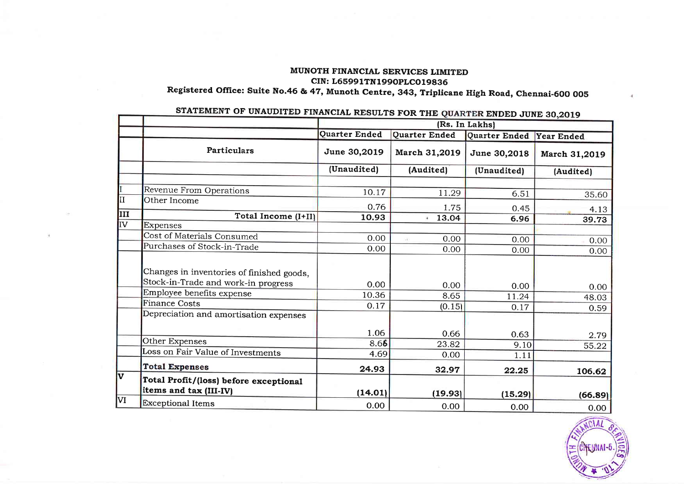## MUNOTH FINANCIAL SERVICES LIMITED CIN: L65991TN1990PLC019836 Registered Office: Suite No.46 & 47, Munoth Centre, 343, Triplicane High Road, Chennai-600 005

|                         |                                                                                  | Source and hours on sold<br>(Rs. In Lakhs) |               |               |               |  |
|-------------------------|----------------------------------------------------------------------------------|--------------------------------------------|---------------|---------------|---------------|--|
|                         |                                                                                  | Quarter Ended                              | Quarter Ended | Quarter Ended | Year Ended    |  |
|                         | Particulars                                                                      | June 30,2019                               | March 31,2019 | June 30,2018  | March 31,2019 |  |
|                         |                                                                                  | (Unaudited)                                | (Audited)     | (Unaudited)   | (Audited)     |  |
|                         | Revenue From Operations                                                          | 10.17                                      | 11.29         | 6.51          | 35.60         |  |
| II                      | Other Income                                                                     | 0.76                                       | 1.75          | 0.45          | 4.13          |  |
| III                     | Total Income (I+II)                                                              | 10.93                                      | 13.04<br>¥.   | 6.96          | 39.73         |  |
| IV <sub></sub>          | Expenses                                                                         |                                            |               |               |               |  |
|                         | Cost of Materials Consumed                                                       | 0.00                                       | 0.00          | 0.00          | 0.00          |  |
|                         | Purchases of Stock-in-Trade                                                      | 0.00                                       | 0.00          | 0.00          | 0.00          |  |
|                         | Changes in inventories of finished goods,<br>Stock-in-Trade and work-in progress | 0.00                                       |               |               |               |  |
|                         | Employee benefits expense                                                        | 10.36                                      | 0.00          | 0.00          | 0.00          |  |
|                         | <b>Finance Costs</b>                                                             | 0.17                                       | 8.65          | 11.24         | 48.03         |  |
|                         | Depreciation and amortisation expenses                                           |                                            | (0.15)        | 0.17          | 0.59          |  |
|                         |                                                                                  | 1.06                                       | 0.66          | 0.63          | 2.79          |  |
|                         | Other Expenses                                                                   | 8.66                                       | 23.82         | 9.10          | 55.22         |  |
|                         | Loss on Fair Value of Investments                                                | 4.69                                       | 0.00          | 1.11          |               |  |
|                         | <b>Total Expenses</b>                                                            | 24.93                                      | 32.97         | 22.25         | 106.62        |  |
| $\overline{\mathbf{v}}$ | Total Profit/(loss) before exceptional<br>items and tax (III-IV)                 | (14.01)                                    | (19.93)       | (15.29)       | (66.89)       |  |
| VI                      | <b>Exceptional Items</b>                                                         | 0.00                                       | 0.00          | 0.00          | 0.00          |  |

## STATEMENT OF UNAUDITED FINANCIAL RESULTS FOR THE OUARTER ENDED JUNE 30.2019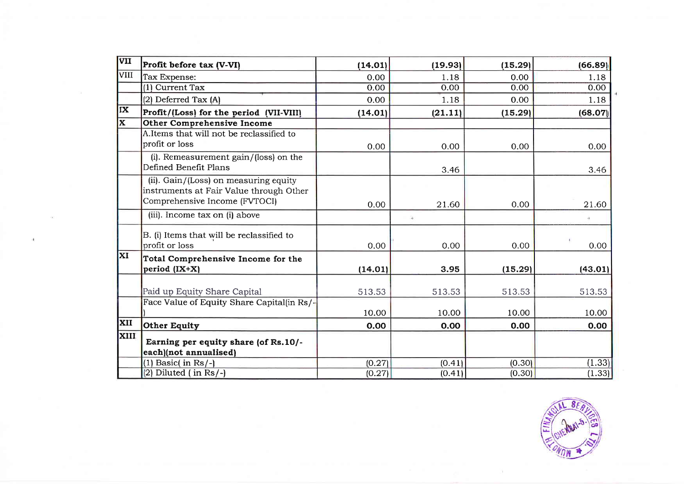| VII       | Profit before tax (V-VI)                                                                                          | (14.01) | (19.93) | (15.29) | (66.89) |
|-----------|-------------------------------------------------------------------------------------------------------------------|---------|---------|---------|---------|
| VIII      | Tax Expense:                                                                                                      | 0.00    | 1.18    | 0.00    | 1.18    |
|           | (1) Current Tax                                                                                                   | 0.00    | 0.00    | 0.00    | 0.00    |
|           | (2) Deferred Tax (A)                                                                                              | 0.00    | 1.18    | 0.00    | 1.18    |
| IX        | Profit/(Loss) for the period (VII-VIII)                                                                           | (14.01) | (21.11) | (15.29) | (68.07) |
| X         | <b>Other Comprehensive Income</b>                                                                                 |         |         |         |         |
|           | A.Items that will not be reclassified to<br>profit or loss                                                        | 0.00    | 0.00    | 0.00    | 0.00    |
|           | (i). Remeasurement gain/(loss) on the<br>Defined Benefit Plans                                                    |         | 3.46    |         | 3.46    |
|           | (ii). Gain/(Loss) on measuring equity<br>instruments at Fair Value through Other<br>Comprehensive Income (FVTOCI) | 0.00    | 21.60   | 0.00    | 21.60   |
|           | (iii). Income tax on (i) above                                                                                    |         | ÷.      |         |         |
|           | B. (i) Items that will be reclassified to<br>profit or loss                                                       | 0.00    | 0.00    | 0.00    | 0.00    |
| <b>XI</b> | Total Comprehensive Income for the<br>period (IX+X)                                                               | (14.01) | 3.95    | (15.29) | (43.01) |
|           | Paid up Equity Share Capital                                                                                      | 513.53  | 513.53  | 513.53  | 513.53  |
|           | Face Value of Equity Share Capital(in Rs/-                                                                        | 10.00   | 10.00   | 10.00   | 10.00   |
| XII       | <b>Other Equity</b>                                                                                               | 0.00    | 0.00    | 0.00    | 0.00    |
| XIII      | Earning per equity share (of Rs.10/-<br>each)(not annualised)                                                     |         |         |         |         |
|           | $(1)$ Basic $($ in Rs $/$ - $)$                                                                                   | (0.27)  | (0.41)  | (0.30)  | (1.33)  |
|           | $(2)$ Diluted $($ in Rs $/$ - $)$                                                                                 | (0.27)  | (0.41)  | (0.30)  | (1.33)  |

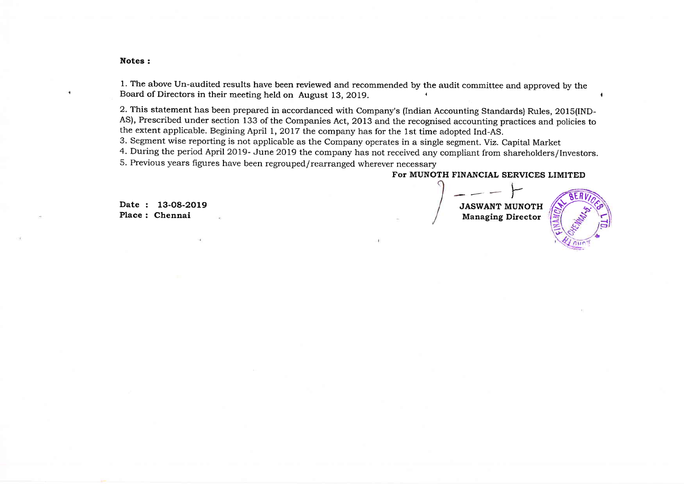#### Notes:

1. The above Un-audited results have been reviewed and recommended by the audit committee and approved by the Board of Directors in their meeting held on August 13, 2019.

2. This statement has been prepared in accordanced with Company's (Indian Accounting Standards) Rules, 201S(IND-AS), Prescribed under section 133 of the Companies Act, 2013 and the recognised accounting practices and policies to the extent applicable. Begining April 1, 2OI7 the company has for the 1st time adopted Ind-AS.

3. Segment wise reporting is not applicable as the Company operates in a single segment. Yiz. Capital Market

4. During the period April2019- June 2019 the company has not received any compliant from shareholders/Investors.

5. Previous years figures have been regrouped/rearranged wherever necessary

Date : 13-08-2019

### For MUNOTH FINANCIAL SERVICES LIMITED

JASWANT MUNOTH Place : 13-08-2019<br>Place : Chennai Municipality of the Managing Director (New York) Managing Director